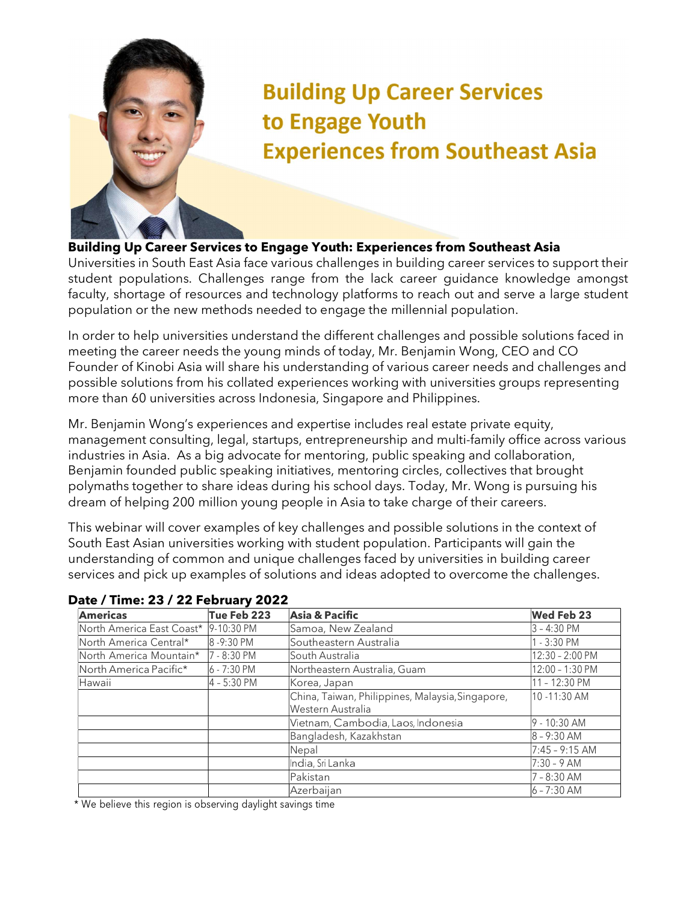

## **Building Up Career Services** to Engage Youth **Experiences from Southeast Asia**

## Building Up Career Services to Engage Youth: Experiences from Southeast Asia

Universities in South East Asia face various challenges in building career services to support their student populations. Challenges range from the lack career guidance knowledge amongst faculty, shortage of resources and technology platforms to reach out and serve a large student population or the new methods needed to engage the millennial population.

In order to help universities understand the different challenges and possible solutions faced in meeting the career needs the young minds of today, Mr. Benjamin Wong, CEO and CO Founder of Kinobi Asia will share his understanding of various career needs and challenges and possible solutions from his collated experiences working with universities groups representing more than 60 universities across Indonesia, Singapore and Philippines.

Mr. Benjamin Wong's experiences and expertise includes real estate private equity, management consulting, legal, startups, entrepreneurship and multi-family office across various industries in Asia. As a big advocate for mentoring, public speaking and collaboration, Benjamin founded public speaking initiatives, mentoring circles, collectives that brought polymaths together to share ideas during his school days. Today, Mr. Wong is pursuing his dream of helping 200 million young people in Asia to take charge of their careers.

This webinar will cover examples of key challenges and possible solutions in the context of South East Asian universities working with student population. Participants will gain the understanding of common and unique challenges faced by universities in building career services and pick up examples of solutions and ideas adopted to overcome the challenges.

| <b>Americas</b>                               | Tue Feb 223  | Asia & Pacific                                                        | <b>Wed Feb 23</b> |
|-----------------------------------------------|--------------|-----------------------------------------------------------------------|-------------------|
| North America East Coast* 9-10:30 PM          |              | Samoa, New Zealand                                                    | 3 - 4:30 PM       |
| North America Central*                        | 8-9:30 PM    | Southeastern Australia                                                | $-3:30$ PM        |
| North America Mountain*                       | l7 - 8:30 PM | lSouth Australia                                                      | 12:30 - 2:00 PM   |
| $\blacksquare$ North America Pacific $^\star$ | 6 - 7:30 PM  | Northeastern Australia, Guam                                          | 12:00 - 1:30 PM   |
| Hawaii                                        | 4 - 5:30 PM  | Korea, Japan                                                          | $1 - 12:30$ PM    |
|                                               |              | China, Taiwan, Philippines, Malaysia, Singapore,<br>Western Australia | 10 -11:30 AM      |
|                                               |              | Vietnam, Cambodia, Laos, Indonesia                                    | $-10:30$ AM       |
|                                               |              | Bangladesh, Kazakhstan                                                | $8 - 9:30$ AM     |
|                                               |              | Nepal                                                                 | $7:45 - 9:15$ AM  |
|                                               |              | India, Sri Lanka                                                      | $7:30 - 9$ AM     |
|                                               |              | Pakistan                                                              | - 8:30 AM         |
|                                               |              | Azerbaijan                                                            | 6 - 7:30 AM       |

## Date / Time: 23 / 22 February 2022

\* We believe this region is observing daylight savings time